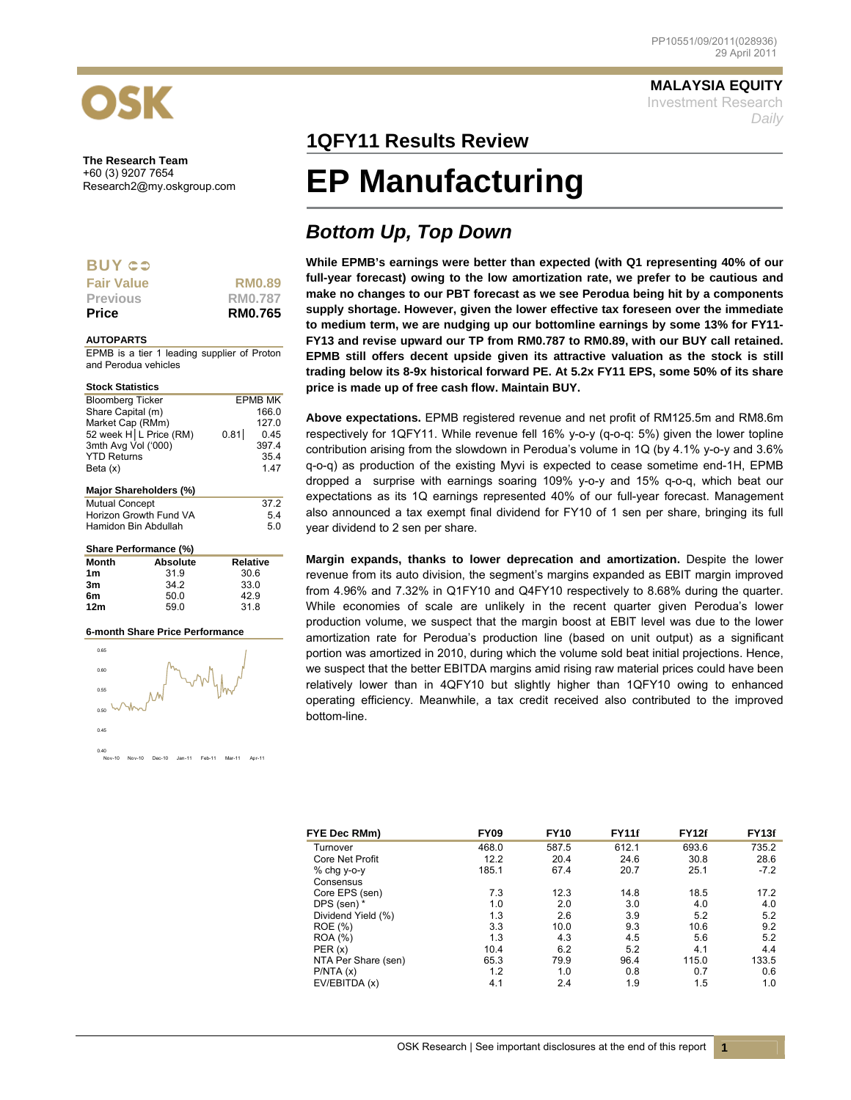

**The Research Team**  +60 (3) 9207 7654<br>Research2@my.oskgroup.com

### **BUY CO**

| <b>Fair Value</b> | <b>RM0.89</b>  |
|-------------------|----------------|
| <b>Previous</b>   | RM0.787        |
| <b>Price</b>      | <b>RM0.765</b> |

#### **AUTOPARTS**

EPMB is a tier 1 leading supplier of Proton and Perodua vehicles

| <b>Stock Statistics</b>  |          |                 |                |  |
|--------------------------|----------|-----------------|----------------|--|
| <b>Bloomberg Ticker</b>  |          |                 | <b>EPMB MK</b> |  |
| Share Capital (m)        |          |                 | 166.0          |  |
| Market Cap (RMm)         | 127 በ    |                 |                |  |
| 52 week H   L Price (RM) |          | 0.81            | 0.45           |  |
| 3mth Avg Vol ('000)      |          |                 | 397.4          |  |
| <b>YTD Returns</b>       |          |                 | 35.4           |  |
| Beta (x)                 |          |                 | 1.47           |  |
|                          |          |                 |                |  |
| Major Shareholders (%)   |          |                 |                |  |
| <b>Mutual Concept</b>    |          |                 | 37.2           |  |
| Horizon Growth Fund VA   |          | 5.4             |                |  |
| Hamidon Bin Abdullah     |          | 50              |                |  |
|                          |          |                 |                |  |
| Share Performance (%)    |          |                 |                |  |
| Month                    | Absolute | <b>Relative</b> |                |  |

|                 | .    | .    |
|-----------------|------|------|
| 1 <sub>m</sub>  | 31.9 | 30.6 |
| 3m              | 34.2 | 33.0 |
| 6m              | 50.0 | 42.9 |
| 12 <sub>m</sub> | 59.0 | 31.8 |
|                 |      |      |

#### **6-month Share Price Performance**



**MALAYSIA EQUITY** Investment Research *Daily*

## **1QFY11 Results Review**

# **EP Manufacturing**

# *Bottom Up, Top Down*

**While EPMB's earnings were better than expected (with Q1 representing 40% of our full-year forecast) owing to the low amortization rate, we prefer to be cautious and make no changes to our PBT forecast as we see Perodua being hit by a components supply shortage. However, given the lower effective tax foreseen over the immediate to medium term, we are nudging up our bottomline earnings by some 13% for FY11- FY13 and revise upward our TP from RM0.787 to RM0.89, with our BUY call retained. EPMB still offers decent upside given its attractive valuation as the stock is still trading below its 8-9x historical forward PE. At 5.2x FY11 EPS, some 50% of its share price is made up of free cash flow. Maintain BUY.** 

**Above expectations.** EPMB registered revenue and net profit of RM125.5m and RM8.6m respectively for 1QFY11. While revenue fell 16% y-o-y (q-o-q: 5%) given the lower topline contribution arising from the slowdown in Perodua's volume in 1Q (by 4.1% y-o-y and 3.6% q-o-q) as production of the existing Myvi is expected to cease sometime end-1H, EPMB dropped a surprise with earnings soaring 109% y-o-y and 15% q-o-q, which beat our expectations as its 1Q earnings represented 40% of our full-year forecast. Management also announced a tax exempt final dividend for FY10 of 1 sen per share, bringing its full year dividend to 2 sen per share.

**Margin expands, thanks to lower deprecation and amortization.** Despite the lower revenue from its auto division, the segment's margins expanded as EBIT margin improved from 4.96% and 7.32% in Q1FY10 and Q4FY10 respectively to 8.68% during the quarter. While economies of scale are unlikely in the recent quarter given Perodua's lower production volume, we suspect that the margin boost at EBIT level was due to the lower amortization rate for Perodua's production line (based on unit output) as a significant portion was amortized in 2010, during which the volume sold beat initial projections. Hence, we suspect that the better EBITDA margins amid rising raw material prices could have been relatively lower than in 4QFY10 but slightly higher than 1QFY10 owing to enhanced operating efficiency. Meanwhile, a tax credit received also contributed to the improved bottom-line.

| FYE Dec RMm)           | <b>FY09</b> | <b>FY10</b> | <b>FY11f</b> | <b>FY12f</b> | FY <sub>13f</sub> |
|------------------------|-------------|-------------|--------------|--------------|-------------------|
| Turnover               | 468.0       | 587.5       | 612.1        | 693.6        | 735.2             |
| <b>Core Net Profit</b> | 12.2        | 20.4        | 24.6         | 30.8         | 28.6              |
| % chg y-o-y            | 185.1       | 67.4        | 20.7         | 25.1         | $-7.2$            |
| Consensus              |             |             |              |              |                   |
| Core EPS (sen)         | 7.3         | 12.3        | 14.8         | 18.5         | 17.2              |
| DPS (sen) *            | 1.0         | 2.0         | 3.0          | 4.0          | 4.0               |
| Dividend Yield (%)     | 1.3         | 2.6         | 3.9          | 5.2          | 5.2               |
| ROE (%)                | 3.3         | 10.0        | 9.3          | 10.6         | 9.2               |
| <b>ROA</b> (%)         | 1.3         | 4.3         | 4.5          | 5.6          | 5.2               |
| PER(x)                 | 10.4        | 6.2         | 5.2          | 4.1          | 4.4               |
| NTA Per Share (sen)    | 65.3        | 79.9        | 96.4         | 115.0        | 133.5             |
| P/NTA(x)               | 1.2         | 1.0         | 0.8          | 0.7          | 0.6               |
| EV/EBITDA (x)          | 4.1         | 2.4         | 1.9          | 1.5          | 1.0               |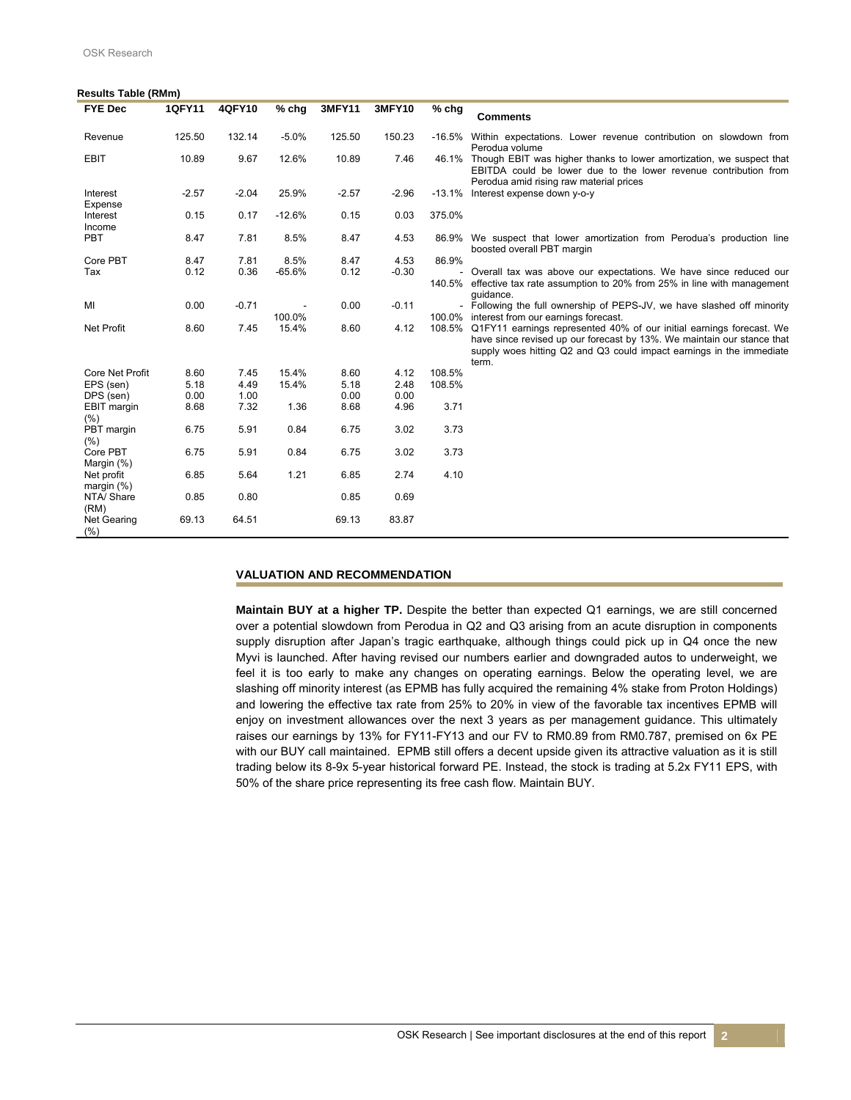#### **Results Table (RMm)**

| <b>FYE Dec</b>              | <b>1QFY11</b> | 4QFY10  | $%$ chg  | 3MFY11  | <b>3MFY10</b> | $%$ chg | <b>Comments</b>                                                                                                                                                                                                                        |
|-----------------------------|---------------|---------|----------|---------|---------------|---------|----------------------------------------------------------------------------------------------------------------------------------------------------------------------------------------------------------------------------------------|
|                             |               |         |          |         |               |         |                                                                                                                                                                                                                                        |
| Revenue                     | 125.50        | 132.14  | $-5.0%$  | 125.50  | 150.23        |         | -16.5% Within expectations. Lower revenue contribution on slowdown from<br>Perodua volume                                                                                                                                              |
| <b>EBIT</b>                 | 10.89         | 9.67    | 12.6%    | 10.89   | 7.46          |         | 46.1% Though EBIT was higher thanks to lower amortization, we suspect that<br>EBITDA could be lower due to the lower revenue contribution from<br>Perodua amid rising raw material prices                                              |
| Interest<br>Expense         | $-2.57$       | $-2.04$ | 25.9%    | $-2.57$ | $-2.96$       |         | -13.1% Interest expense down y-o-y                                                                                                                                                                                                     |
| Interest<br>Income          | 0.15          | 0.17    | $-12.6%$ | 0.15    | 0.03          | 375.0%  |                                                                                                                                                                                                                                        |
| PBT                         | 8.47          | 7.81    | 8.5%     | 8.47    | 4.53          |         | 86.9% We suspect that lower amortization from Perodua's production line<br>boosted overall PBT margin                                                                                                                                  |
| Core PBT                    | 8.47          | 7.81    | 8.5%     | 8.47    | 4.53          | 86.9%   |                                                                                                                                                                                                                                        |
| Tax                         | 0.12          | 0.36    | $-65.6%$ | 0.12    | $-0.30$       |         | - Overall tax was above our expectations. We have since reduced our                                                                                                                                                                    |
|                             |               |         |          |         |               |         | 140.5% effective tax rate assumption to 20% from 25% in line with management<br>quidance.                                                                                                                                              |
| MI                          | 0.00          | $-0.71$ | 100.0%   | 0.00    | $-0.11$       |         | - Following the full ownership of PEPS-JV, we have slashed off minority<br>100.0% interest from our earnings forecast.                                                                                                                 |
| <b>Net Profit</b>           | 8.60          | 7.45    | 15.4%    | 8.60    | 4.12          |         | 108.5% Q1FY11 earnings represented 40% of our initial earnings forecast. We<br>have since revised up our forecast by 13%. We maintain our stance that<br>supply woes hitting Q2 and Q3 could impact earnings in the immediate<br>term. |
| Core Net Profit             | 8.60          | 7.45    | 15.4%    | 8.60    | 4.12          | 108.5%  |                                                                                                                                                                                                                                        |
| EPS (sen)                   | 5.18          | 4.49    | 15.4%    | 5.18    | 2.48          | 108.5%  |                                                                                                                                                                                                                                        |
| DPS (sen)                   | 0.00          | 1.00    |          | 0.00    | 0.00          |         |                                                                                                                                                                                                                                        |
| EBIT margin<br>(% )         | 8.68          | 7.32    | 1.36     | 8.68    | 4.96          | 3.71    |                                                                                                                                                                                                                                        |
| PBT margin<br>(% )          | 6.75          | 5.91    | 0.84     | 6.75    | 3.02          | 3.73    |                                                                                                                                                                                                                                        |
| Core PBT                    | 6.75          | 5.91    | 0.84     | 6.75    | 3.02          | 3.73    |                                                                                                                                                                                                                                        |
| Margin (%)                  |               |         |          |         |               |         |                                                                                                                                                                                                                                        |
| Net profit<br>margin $(\%)$ | 6.85          | 5.64    | 1.21     | 6.85    | 2.74          | 4.10    |                                                                                                                                                                                                                                        |
| NTA/Share<br>(RM)           | 0.85          | 0.80    |          | 0.85    | 0.69          |         |                                                                                                                                                                                                                                        |
| <b>Net Gearing</b><br>(% )  | 69.13         | 64.51   |          | 69.13   | 83.87         |         |                                                                                                                                                                                                                                        |

### **VALUATION AND RECOMMENDATION**

 **Maintain BUY at a higher TP.** Despite the better than expected Q1 earnings, we are still concerned over a potential slowdown from Perodua in Q2 and Q3 arising from an acute disruption in components supply disruption after Japan's tragic earthquake, although things could pick up in Q4 once the new Myvi is launched. After having revised our numbers earlier and downgraded autos to underweight, we feel it is too early to make any changes on operating earnings. Below the operating level, we are slashing off minority interest (as EPMB has fully acquired the remaining 4% stake from Proton Holdings) and lowering the effective tax rate from 25% to 20% in view of the favorable tax incentives EPMB will enjoy on investment allowances over the next 3 years as per management guidance. This ultimately raises our earnings by 13% for FY11-FY13 and our FV to RM0.89 from RM0.787, premised on 6x PE with our BUY call maintained. EPMB still offers a decent upside given its attractive valuation as it is still trading below its 8-9x 5-year historical forward PE. Instead, the stock is trading at 5.2x FY11 EPS, with 50% of the share price representing its free cash flow. Maintain BUY.